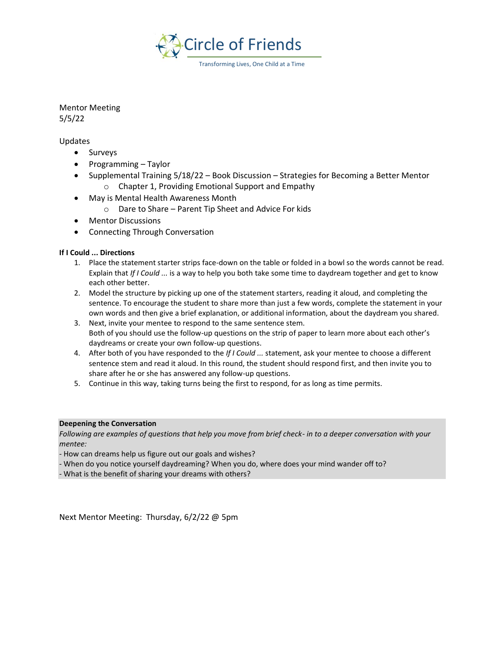

Transforming Lives, One Child at a Time

## Mentor Meeting

5/5/22

#### Updates

- Surveys
- Programming Taylor
- Supplemental Training 5/18/22 Book Discussion Strategies for Becoming a Better Mentor o Chapter 1, Providing Emotional Support and Empathy
- May is Mental Health Awareness Month
	- o Dare to Share Parent Tip Sheet and Advice For kids
- Mentor Discussions
- Connecting Through Conversation

#### **If I Could ... Directions**

- 1. Place the statement starter strips face-down on the table or folded in a bowl so the words cannot be read. Explain that *If I Could ...* is a way to help you both take some time to daydream together and get to know each other better.
- 2. Model the structure by picking up one of the statement starters, reading it aloud, and completing the sentence. To encourage the student to share more than just a few words, complete the statement in your own words and then give a brief explanation, or additional information, about the daydream you shared.
- 3. Next, invite your mentee to respond to the same sentence stem. Both of you should use the follow-up questions on the strip of paper to learn more about each other's daydreams or create your own follow-up questions.
- 4. After both of you have responded to the *If I Could ...* statement, ask your mentee to choose a different sentence stem and read it aloud. In this round, the student should respond first, and then invite you to share after he or she has answered any follow-up questions.
- 5. Continue in this way, taking turns being the first to respond, for as long as time permits.

#### **Deepening the Conversation**

*Following are examples of questions that help you move from brief check- in to a deeper conversation with your mentee:* 

- How can dreams help us figure out our goals and wishes?
- When do you notice yourself daydreaming? When you do, where does your mind wander off to?

- What is the benefit of sharing your dreams with others?

Next Mentor Meeting: Thursday, 6/2/22 @ 5pm